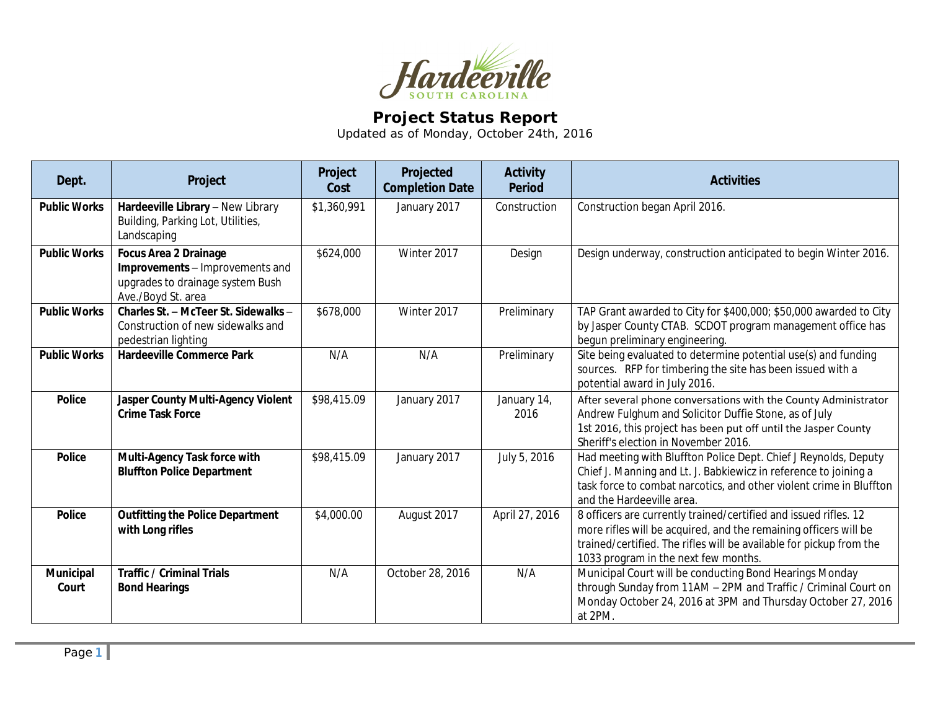

## **Project Status Report**

Updated as of Monday, October 24th, 2016

| Dept.               | Project                                                                                                                   | Project<br>Cost | Projected<br><b>Completion Date</b> | <b>Activity</b><br><b>Period</b> | <b>Activities</b>                                                                                                                                                                                                                                   |
|---------------------|---------------------------------------------------------------------------------------------------------------------------|-----------------|-------------------------------------|----------------------------------|-----------------------------------------------------------------------------------------------------------------------------------------------------------------------------------------------------------------------------------------------------|
| <b>Public Works</b> | Hardeeville Library - New Library<br>Building, Parking Lot, Utilities,<br>Landscaping                                     | \$1,360,991     | January 2017                        | Construction                     | Construction began April 2016.                                                                                                                                                                                                                      |
| <b>Public Works</b> | <b>Focus Area 2 Drainage</b><br>Improvements - Improvements and<br>upgrades to drainage system Bush<br>Ave./Boyd St. area | \$624,000       | Winter 2017                         | Design                           | Design underway, construction anticipated to begin Winter 2016.                                                                                                                                                                                     |
| <b>Public Works</b> | Charles St. - McTeer St. Sidewalks -<br>Construction of new sidewalks and<br>pedestrian lighting                          | \$678,000       | Winter 2017                         | Preliminary                      | TAP Grant awarded to City for \$400,000; \$50,000 awarded to City<br>by Jasper County CTAB. SCDOT program management office has<br>begun preliminary engineering.                                                                                   |
| <b>Public Works</b> | <b>Hardeeville Commerce Park</b>                                                                                          | N/A             | N/A                                 | Preliminary                      | Site being evaluated to determine potential use(s) and funding<br>sources. RFP for timbering the site has been issued with a<br>potential award in July 2016.                                                                                       |
| <b>Police</b>       | Jasper County Multi-Agency Violent<br><b>Crime Task Force</b>                                                             | \$98,415.09     | January 2017                        | January 14,<br>2016              | After several phone conversations with the County Administrator<br>Andrew Fulghum and Solicitor Duffie Stone, as of July<br>1st 2016, this project has been put off until the Jasper County<br>Sheriff's election in November 2016.                 |
| <b>Police</b>       | Multi-Agency Task force with<br><b>Bluffton Police Department</b>                                                         | \$98,415.09     | January 2017                        | July 5, 2016                     | Had meeting with Bluffton Police Dept. Chief J Reynolds, Deputy<br>Chief J. Manning and Lt. J. Babkiewicz in reference to joining a<br>task force to combat narcotics, and other violent crime in Bluffton<br>and the Hardeeville area.             |
| <b>Police</b>       | <b>Outfitting the Police Department</b><br>with Long rifles                                                               | \$4,000.00      | August 2017                         | April 27, 2016                   | 8 officers are currently trained/certified and issued rifles. 12<br>more rifles will be acquired, and the remaining officers will be<br>trained/certified. The rifles will be available for pickup from the<br>1033 program in the next few months. |
| Municipal<br>Court  | <b>Traffic / Criminal Trials</b><br><b>Bond Hearings</b>                                                                  | N/A             | October 28, 2016                    | N/A                              | Municipal Court will be conducting Bond Hearings Monday<br>through Sunday from 11AM - 2PM and Traffic / Criminal Court on<br>Monday October 24, 2016 at 3PM and Thursday October 27, 2016<br>at 2PM.                                                |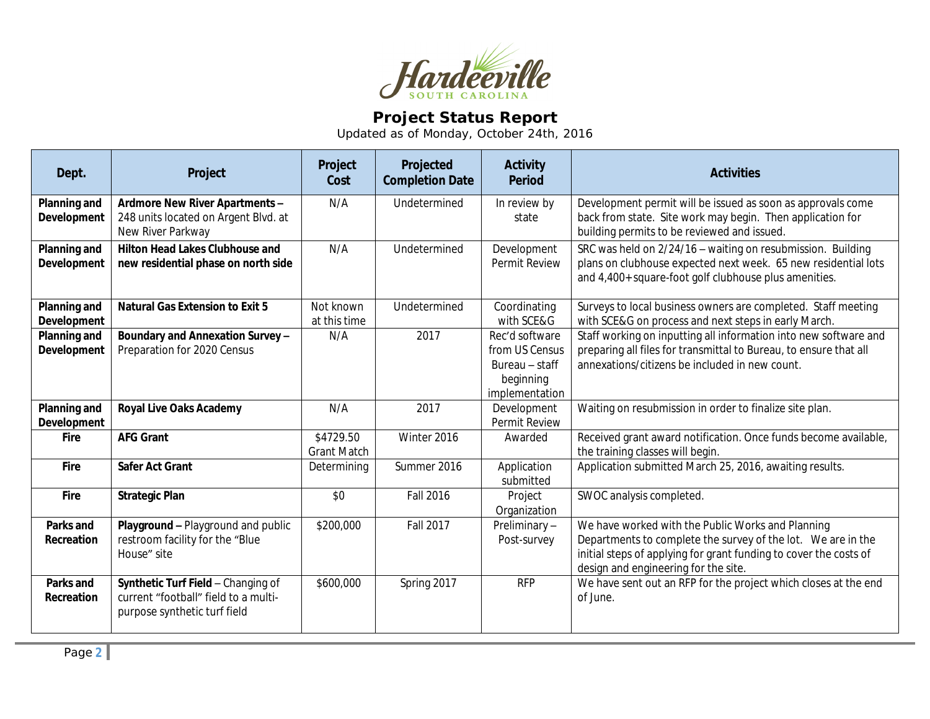

## **Project Status Report**

Updated as of Monday, October 24th, 2016

| Dept.                              | Project                                                                                                    | Project<br>Cost                 | Projected<br><b>Completion Date</b> | <b>Activity</b><br><b>Period</b>                                                  | <b>Activities</b>                                                                                                                                                                                                              |
|------------------------------------|------------------------------------------------------------------------------------------------------------|---------------------------------|-------------------------------------|-----------------------------------------------------------------------------------|--------------------------------------------------------------------------------------------------------------------------------------------------------------------------------------------------------------------------------|
| Planning and<br>Development        | Ardmore New River Apartments -<br>248 units located on Argent Blvd. at<br>New River Parkway                | N/A                             | Undetermined                        | In review by<br>state                                                             | Development permit will be issued as soon as approvals come<br>back from state. Site work may begin. Then application for<br>building permits to be reviewed and issued.                                                       |
| Planning and<br><b>Development</b> | <b>Hilton Head Lakes Clubhouse and</b><br>new residential phase on north side                              | N/A                             | Undetermined                        | Development<br>Permit Review                                                      | SRC was held on 2/24/16 - waiting on resubmission. Building<br>plans on clubhouse expected next week. 65 new residential lots<br>and 4,400+ square-foot golf clubhouse plus amenities.                                         |
| Planning and<br><b>Development</b> | <b>Natural Gas Extension to Exit 5</b>                                                                     | Not known<br>at this time       | Undetermined                        | Coordinating<br>with SCE&G                                                        | Surveys to local business owners are completed. Staff meeting<br>with SCE&G on process and next steps in early March.                                                                                                          |
| Planning and<br>Development        | Boundary and Annexation Survey -<br>Preparation for 2020 Census                                            | N/A                             | 2017                                | Rec'd software<br>from US Census<br>Bureau - staff<br>beginning<br>implementation | Staff working on inputting all information into new software and<br>preparing all files for transmittal to Bureau, to ensure that all<br>annexations/citizens be included in new count.                                        |
| Planning and<br>Development        | <b>Royal Live Oaks Academy</b>                                                                             | N/A                             | 2017                                | Development<br>Permit Review                                                      | Waiting on resubmission in order to finalize site plan.                                                                                                                                                                        |
| <b>Fire</b>                        | <b>AFG Grant</b>                                                                                           | \$4729.50<br><b>Grant Match</b> | Winter 2016                         | Awarded                                                                           | Received grant award notification. Once funds become available,<br>the training classes will begin.                                                                                                                            |
| <b>Fire</b>                        | <b>Safer Act Grant</b>                                                                                     | Determining                     | Summer 2016                         | Application<br>submitted                                                          | Application submitted March 25, 2016, awaiting results.                                                                                                                                                                        |
| <b>Fire</b>                        | <b>Strategic Plan</b>                                                                                      | \$0                             | <b>Fall 2016</b>                    | Project<br>Organization                                                           | SWOC analysis completed.                                                                                                                                                                                                       |
| Parks and<br>Recreation            | Playground - Playground and public<br>restroom facility for the "Blue<br>House" site                       | \$200,000                       | <b>Fall 2017</b>                    | Preliminary-<br>Post-survey                                                       | We have worked with the Public Works and Planning<br>Departments to complete the survey of the lot. We are in the<br>initial steps of applying for grant funding to cover the costs of<br>design and engineering for the site. |
| Parks and<br>Recreation            | Synthetic Turf Field - Changing of<br>current "football" field to a multi-<br>purpose synthetic turf field | \$600,000                       | Spring 2017                         | <b>RFP</b>                                                                        | We have sent out an RFP for the project which closes at the end<br>of June.                                                                                                                                                    |